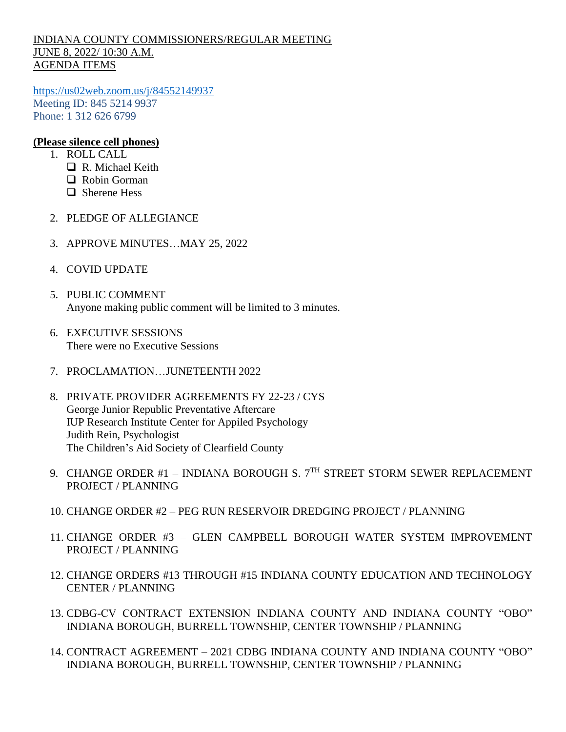## INDIANA COUNTY COMMISSIONERS/REGULAR MEETING JUNE 8, 2022/ 10:30 A.M. AGENDA ITEMS

<https://us02web.zoom.us/j/84552149937> Meeting ID: 845 5214 9937 Phone: 1 312 626 6799

## **(Please silence cell phones)**

- 1. ROLL CALL
	- R. Michael Keith
	- □ Robin Gorman
	- □ Sherene Hess
- 2. PLEDGE OF ALLEGIANCE
- 3. APPROVE MINUTES…MAY 25, 2022
- 4. COVID UPDATE
- 5. PUBLIC COMMENT Anyone making public comment will be limited to 3 minutes.
- 6. EXECUTIVE SESSIONS There were no Executive Sessions
- 7. PROCLAMATION…JUNETEENTH 2022
- 8. PRIVATE PROVIDER AGREEMENTS FY 22-23 / CYS George Junior Republic Preventative Aftercare IUP Research Institute Center for Appiled Psychology Judith Rein, Psychologist The Children's Aid Society of Clearfield County
- 9. CHANGE ORDER #1 INDIANA BOROUGH S.  $7<sup>TH</sup>$  STREET STORM SEWER REPLACEMENT PROJECT / PLANNING
- 10. CHANGE ORDER #2 PEG RUN RESERVOIR DREDGING PROJECT / PLANNING
- 11. CHANGE ORDER #3 GLEN CAMPBELL BOROUGH WATER SYSTEM IMPROVEMENT PROJECT / PLANNING
- 12. CHANGE ORDERS #13 THROUGH #15 INDIANA COUNTY EDUCATION AND TECHNOLOGY CENTER / PLANNING
- 13. CDBG-CV CONTRACT EXTENSION INDIANA COUNTY AND INDIANA COUNTY "OBO" INDIANA BOROUGH, BURRELL TOWNSHIP, CENTER TOWNSHIP / PLANNING
- 14. CONTRACT AGREEMENT 2021 CDBG INDIANA COUNTY AND INDIANA COUNTY "OBO" INDIANA BOROUGH, BURRELL TOWNSHIP, CENTER TOWNSHIP / PLANNING